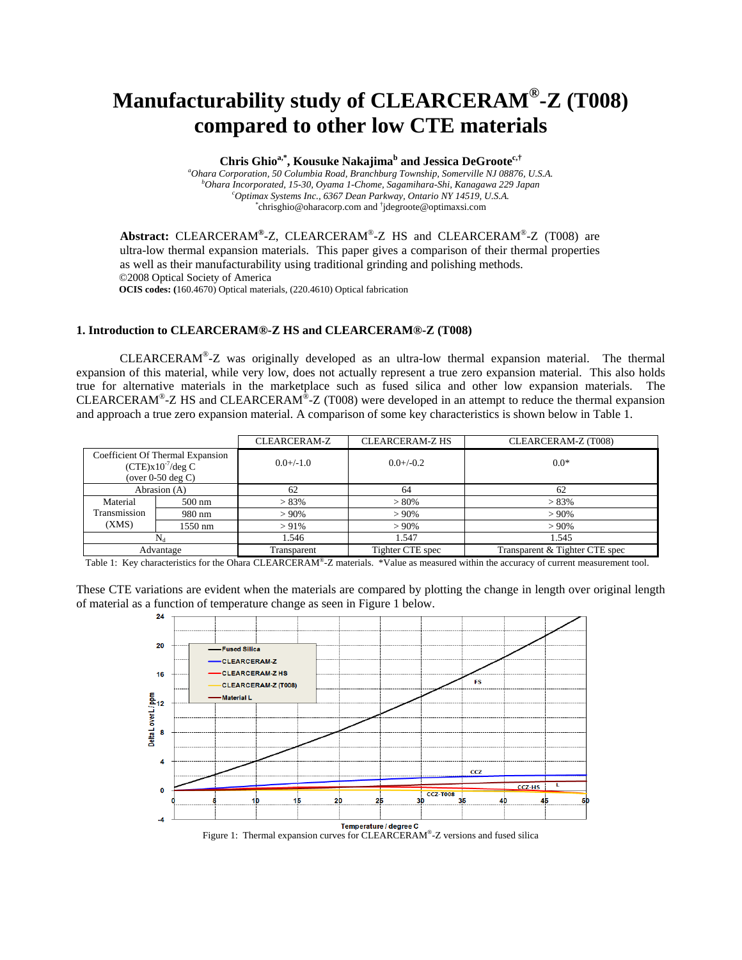# **Manufacturability study of CLEARCERAM®-Z (T008) compared to other low CTE materials**

## Chris Ghio<sup>a,\*</sup>, Kousuke Nakajima<sup>b</sup> and Jessica DeGroote<sup>c,†</sup>

<sup>a</sup>Ohara Corporation, 50 Columbia Road, Branchburg Township, Somerville NJ 08876, U.S.A. *Ohara Incorporated, 15-30, Oyama 1-Chome, Sagamihara-Shi, Kanagawa 229 Japan c Optimax Systems Inc., 6367 Dean Parkway, Ontario NY 14519, U.S.A.* \* chrisghio@oharacorp.com and † jdegroote@optimaxsi.com

**Abstract:** CLEARCERAM**®**-Z, CLEARCERAM®-Z HS and CLEARCERAM®-Z (T008) are ultra-low thermal expansion materials. This paper gives a comparison of their thermal properties as well as their manufacturability using traditional grinding and polishing methods. ©2008 Optical Society of America **OCIS codes: (**160.4670) Optical materials, (220.4610) Optical fabrication

## **1. Introduction to CLEARCERAM®-Z HS and CLEARCERAM®-Z (T008)**

 CLEARCERAM®-Z was originally developed as an ultra-low thermal expansion material. The thermal expansion of this material, while very low, does not actually represent a true zero expansion material. This also holds true for alternative materials in the marketplace such as fused silica and other low expansion materials. The CLEARCERAM<sup>®</sup>-Z HS and CLEARCERAM<sup>®</sup>-Z (T008) were developed in an attempt to reduce the thermal expansion and approach a true zero expansion material. A comparison of some key characteristics is shown below in Table 1.

|                                                                                  |                  | CLEARCERAM-Z | <b>CLEARCERAM-Z HS</b> | CLEARCERAM-Z (T008)            |
|----------------------------------------------------------------------------------|------------------|--------------|------------------------|--------------------------------|
| Coefficient Of Thermal Expansion<br>$(CTE)x10^{-7}/deg C$<br>(over $0-50$ deg C) |                  | $0.0+/1.0$   | $0.0 + (-0.2)$         | $0.0*$                         |
| Abrasion (A)                                                                     |                  | 62           | 64                     | 62                             |
| Material                                                                         | $500 \text{ nm}$ | $> 83\%$     | $> 80\%$               | $> 83\%$                       |
| Transmission                                                                     | 980 nm           | $>90\%$      | $>90\%$                | $> 90\%$                       |
| (XMS)                                                                            | 1550 nm          | $> 91\%$     | $>90\%$                | $>90\%$                        |
| $\rm N_d$                                                                        |                  | 1.546        | 1.547                  | 1.545                          |
| Advantage                                                                        |                  | Transparent  | Tighter CTE spec       | Transparent & Tighter CTE spec |

Table 1: Key characteristics for the Ohara CLEARCERAM®-Z materials. \*Value as measured within the accuracy of current measurement tool.

These CTE variations are evident when the materials are compared by plotting the change in length over original length of material as a function of temperature change as seen in Figure 1 below.

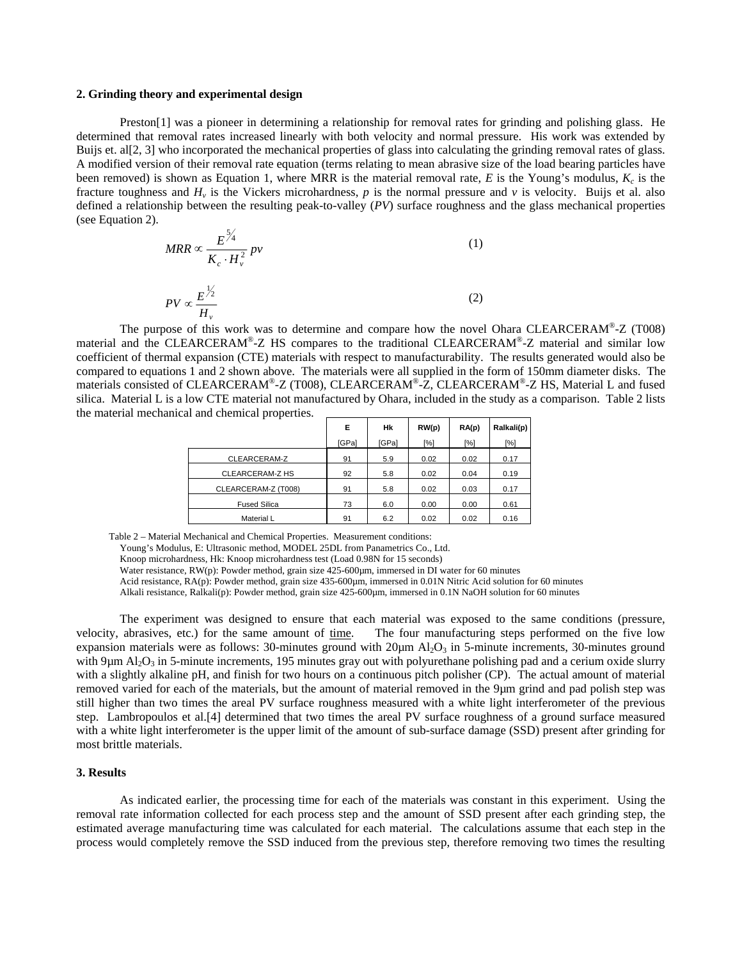#### **2. Grinding theory and experimental design**

Preston[1] was a pioneer in determining a relationship for removal rates for grinding and polishing glass. He determined that removal rates increased linearly with both velocity and normal pressure. His work was extended by Buijs et. al[2, 3] who incorporated the mechanical properties of glass into calculating the grinding removal rates of glass. A modified version of their removal rate equation (terms relating to mean abrasive size of the load bearing particles have been removed) is shown as Equation 1, where MRR is the material removal rate,  $E$  is the Young's modulus,  $K_c$  is the fracture toughness and  $H<sub>v</sub>$  is the Vickers microhardness, p is the normal pressure and v is velocity. Buijs et al. also defined a relationship between the resulting peak-to-valley (*PV*) surface roughness and the glass mechanical properties (see Equation 2).

$$
MRR \propto \frac{E^{\frac{5}{4}}}{K_c \cdot H_v^2} \, pv \tag{1}
$$

$$
PV \propto \frac{E^{\frac{1}{2}}}{H_v} \tag{2}
$$

The purpose of this work was to determine and compare how the novel Ohara CLEARCERAM®-Z (T008) material and the CLEARCERAM®-Z HS compares to the traditional CLEARCERAM®-Z material and similar low coefficient of thermal expansion (CTE) materials with respect to manufacturability. The results generated would also be compared to equations 1 and 2 shown above. The materials were all supplied in the form of 150mm diameter disks. The materials consisted of CLEARCERAM®-Z (T008), CLEARCERAM®-Z, CLEARCERAM®-Z HS, Material L and fused silica. Material L is a low CTE material not manufactured by Ohara, included in the study as a comparison. Table 2 lists the material mechanical and chemical properties.

|                     | Е     | Hk    | RW(p)              | RA(p) | Ralkali(p) |
|---------------------|-------|-------|--------------------|-------|------------|
|                     | [GPa] | [GPa] | $\lceil \% \rceil$ | [%]   | [%]        |
| CLEARCERAM-Z        | 91    | 5.9   | 0.02               | 0.02  | 0.17       |
| CLEARCERAM-Z HS     | 92    | 5.8   | 0.02               | 0.04  | 0.19       |
| CLEARCERAM-Z (T008) | 91    | 5.8   | 0.02               | 0.03  | 0.17       |
| <b>Fused Silica</b> | 73    | 6.0   | 0.00               | 0.00  | 0.61       |
| Material L          | 91    | 6.2   | 0.02               | 0.02  | 0.16       |

Table 2 – Material Mechanical and Chemical Properties. Measurement conditions:

Young's Modulus, E: Ultrasonic method, MODEL 25DL from Panametrics Co., Ltd.

Knoop microhardness, Hk: Knoop microhardness test (Load 0.98N for 15 seconds)

Water resistance,  $RW(p)$ : Powder method, grain size  $425{\text -}600\mu$ m, immersed in DI water for 60 minutes

Acid resistance, RA(p): Powder method, grain size 435-600um, immersed in 0.01N Nitric Acid solution for 60 minutes

Alkali resistance, Ralkali(p): Powder method, grain size 425-600µm, immersed in 0.1N NaOH solution for 60 minutes

The experiment was designed to ensure that each material was exposed to the same conditions (pressure, velocity, abrasives, etc.) for the same amount of time. The four manufacturing steps performed on the five low expansion materials were as follows: 30-minutes ground with  $20\mu$ m Al<sub>2</sub>O<sub>3</sub> in 5-minute increments, 30-minutes ground with 9 $\mu$ m Al<sub>2</sub>O<sub>3</sub> in 5-minute increments, 195 minutes gray out with polyurethane polishing pad and a cerium oxide slurry with a slightly alkaline pH, and finish for two hours on a continuous pitch polisher (CP). The actual amount of material removed varied for each of the materials, but the amount of material removed in the 9µm grind and pad polish step was still higher than two times the areal PV surface roughness measured with a white light interferometer of the previous step. Lambropoulos et al.[4] determined that two times the areal PV surface roughness of a ground surface measured with a white light interferometer is the upper limit of the amount of sub-surface damage (SSD) present after grinding for most brittle materials.

## **3. Results**

As indicated earlier, the processing time for each of the materials was constant in this experiment. Using the removal rate information collected for each process step and the amount of SSD present after each grinding step, the estimated average manufacturing time was calculated for each material. The calculations assume that each step in the process would completely remove the SSD induced from the previous step, therefore removing two times the resulting